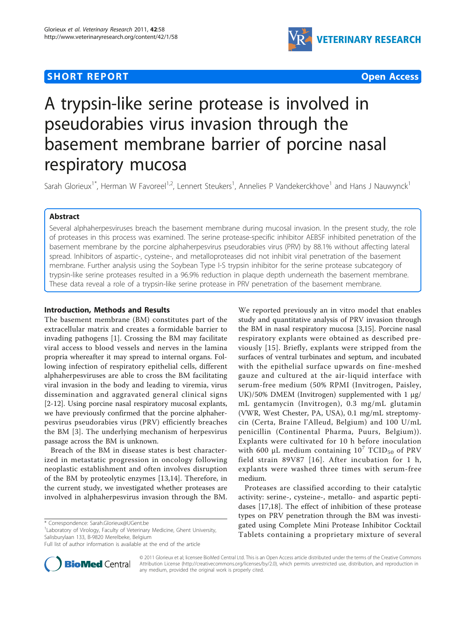# **SHORT REPORT CONTRACT CONTRACT CONTRACT CONTRACT CONTRACT CONTRACT CONTRACT CONTRACT CONTRACT CONTRACT CONTRACT CONTRACT CONTRACT CONTRACT CONTRACT CONTRACT CONTRACT CONTRACT CONTRACT CONTRACT CONTRACT CONTRACT CONTRACT C**



# A trypsin-like serine protease is involved in pseudorabies virus invasion through the basement membrane barrier of porcine nasal respiratory mucosa

Sarah Glorieux<sup>1\*</sup>, Herman W Favoreel<sup>1,2</sup>, Lennert Steukers<sup>1</sup>, Annelies P Vandekerckhove<sup>1</sup> and Hans J Nauwynck<sup>1</sup>

## Abstract

Several alphaherpesviruses breach the basement membrane during mucosal invasion. In the present study, the role of proteases in this process was examined. The serine protease-specific inhibitor AEBSF inhibited penetration of the basement membrane by the porcine alphaherpesvirus pseudorabies virus (PRV) by 88.1% without affecting lateral spread. Inhibitors of aspartic-, cysteine-, and metalloproteases did not inhibit viral penetration of the basement membrane. Further analysis using the Soybean Type I-S trypsin inhibitor for the serine protease subcategory of trypsin-like serine proteases resulted in a 96.9% reduction in plaque depth underneath the basement membrane. These data reveal a role of a trypsin-like serine protease in PRV penetration of the basement membrane.

# Introduction, Methods and Results

The basement membrane (BM) constitutes part of the extracellular matrix and creates a formidable barrier to invading pathogens [[1](#page-4-0)]. Crossing the BM may facilitate viral access to blood vessels and nerves in the lamina propria whereafter it may spread to internal organs. Following infection of respiratory epithelial cells, different alphaherpesviruses are able to cross the BM facilitating viral invasion in the body and leading to viremia, virus dissemination and aggravated general clinical signs [[2-12](#page-4-0)]. Using porcine nasal respiratory mucosal explants, we have previously confirmed that the porcine alphaherpesvirus pseudorabies virus (PRV) efficiently breaches the BM [[3\]](#page-4-0). The underlying mechanism of herpesvirus passage across the BM is unknown.

Breach of the BM in disease states is best characterized in metastatic progression in oncology following neoplastic establishment and often involves disruption of the BM by proteolytic enzymes [\[13,14](#page-4-0)]. Therefore, in the current study, we investigated whether proteases are involved in alphaherpesvirus invasion through the BM.

\* Correspondence: [Sarah.Glorieux@UGent.be](mailto:Sarah.Glorieux@UGent.be)

<sup>1</sup> Laboratory of Virology, Faculty of Veterinary Medicine, Ghent University, Salisburylaan 133, B-9820 Merelbeke, Belgium

Full list of author information is available at the end of the article



We reported previously an in vitro model that enables study and quantitative analysis of PRV invasion through the BM in nasal respiratory mucosa [[3](#page-4-0),[15](#page-4-0)]. Porcine nasal respiratory explants were obtained as described previously [[15\]](#page-4-0). Briefly, explants were stripped from the surfaces of ventral turbinates and septum, and incubated with the epithelial surface upwards on fine-meshed gauze and cultured at the air-liquid interface with serum-free medium (50% RPMI (Invitrogen, Paisley, UK)/50% DMEM (Invitrogen) supplemented with 1 μg/ mL gentamycin (Invitrogen), 0.3 mg/mL glutamin (VWR, West Chester, PA, USA), 0.1 mg/mL streptomycin (Certa, Braine l'Alleud, Belgium) and 100 U/mL penicillin (Continental Pharma, Puurs, Belgium)). Explants were cultivated for 10 h before inoculation with 600  $\mu$ L medium containing 10<sup>7</sup> TCID<sub>50</sub> of PRV field strain 89V87 [[16\]](#page-4-0). After incubation for 1 h, explants were washed three times with serum-free medium.

Proteases are classified according to their catalytic activity: serine-, cysteine-, metallo- and aspartic peptidases [[17,18\]](#page-4-0). The effect of inhibition of these protease types on PRV penetration through the BM was investigated using Complete Mini Protease Inhibitor Cocktail Tablets containing a proprietary mixture of several

© 2011 Glorieux et al; licensee BioMed Central Ltd. This is an Open Access article distributed under the terms of the Creative Commons Attribution License [\(http://creativecommons.org/licenses/by/2.0](http://creativecommons.org/licenses/by/2.0)), which permits unrestricted use, distribution, and reproduction in any medium, provided the original work is properly cited.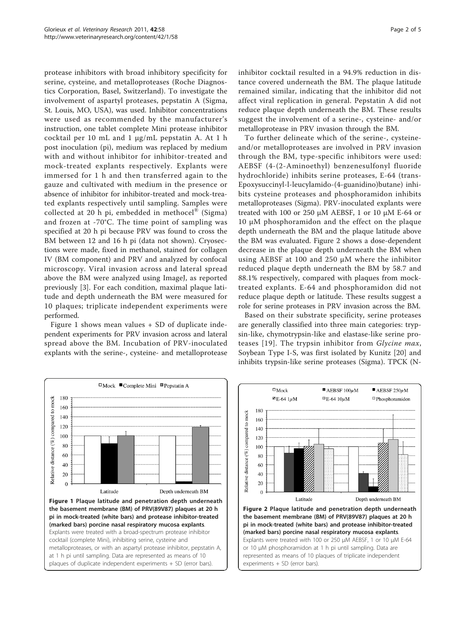<span id="page-1-0"></span>protease inhibitors with broad inhibitory specificity for serine, cysteine, and metalloproteases (Roche Diagnostics Corporation, Basel, Switzerland). To investigate the involvement of aspartyl proteases, pepstatin A (Sigma, St. Louis, MO, USA), was used. Inhibitor concentrations were used as recommended by the manufacturer's instruction, one tablet complete Mini protease inhibitor cocktail per 10 mL and 1 μg/mL pepstatin A. At 1 h post inoculation (pi), medium was replaced by medium with and without inhibitor for inhibitor-treated and mock-treated explants respectively. Explants were immersed for 1 h and then transferred again to the gauze and cultivated with medium in the presence or absence of inhibitor for inhibitor-treated and mock-treated explants respectively until sampling. Samples were collected at 20 h pi, embedded in methocel<sup>®</sup> (Sigma) and frozen at -70°C. The time point of sampling was specified at 20 h pi because PRV was found to cross the BM between 12 and 16 h pi (data not shown). Cryosections were made, fixed in methanol, stained for collagen IV (BM component) and PRV and analyzed by confocal microscopy. Viral invasion across and lateral spread above the BM were analyzed using ImageJ, as reported previously [[3](#page-4-0)]. For each condition, maximal plaque latitude and depth underneath the BM were measured for 10 plaques; triplicate independent experiments were performed.

Figure 1 shows mean values + SD of duplicate independent experiments for PRV invasion across and lateral spread above the BM. Incubation of PRV-inoculated explants with the serine-, cysteine- and metalloprotease inhibitor cocktail resulted in a 94.9% reduction in distance covered underneath the BM. The plaque latitude remained similar, indicating that the inhibitor did not affect viral replication in general. Pepstatin A did not reduce plaque depth underneath the BM. These results suggest the involvement of a serine-, cysteine- and/or metalloprotease in PRV invasion through the BM.

To further delineate which of the serine-, cysteineand/or metalloproteases are involved in PRV invasion through the BM, type-specific inhibitors were used: AEBSF (4-(2-Aminoethyl) benzenesulfonyl fluoride hydrochloride) inhibits serine proteases, E-64 (trans-Epoxysuccinyl-l-leucylamido-(4-guanidino)butane) inhibits cysteine proteases and phosphoramidon inhibits metalloproteases (Sigma). PRV-inoculated explants were treated with 100 or 250  $\mu$ M AEBSF, 1 or 10  $\mu$ M E-64 or 10 μM phosphoramidon and the effect on the plaque depth underneath the BM and the plaque latitude above the BM was evaluated. Figure 2 shows a dose-dependent decrease in the plaque depth underneath the BM when using AEBSF at 100 and 250 μM where the inhibitor reduced plaque depth underneath the BM by 58.7 and 88.1% respectively, compared with plaques from mocktreated explants. E-64 and phosphoramidon did not reduce plaque depth or latitude. These results suggest a role for serine proteases in PRV invasion across the BM.

Based on their substrate specificity, serine proteases are generally classified into three main categories: trypsin-like, chymotrypsin-like and elastase-like serine pro-teases [[19\]](#page-4-0). The trypsin inhibitor from Glycine max, Soybean Type I-S, was first isolated by Kunitz [[20\]](#page-4-0) and inhibits trypsin-like serine proteases (Sigma). TPCK (N-



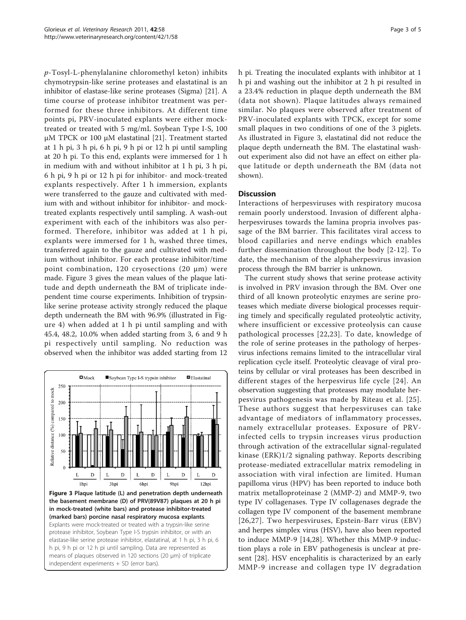<span id="page-2-0"></span>p-Tosyl-L-phenylalanine chloromethyl keton) inhibits chymotrypsin-like serine proteases and elastatinal is an inhibitor of elastase-like serine proteases (Sigma) [\[21\]](#page-4-0). A time course of protease inhibitor treatment was performed for these three inhibitors. At different time points pi, PRV-inoculated explants were either mocktreated or treated with 5 mg/mL Soybean Type I-S, 100 μM TPCK or 100 μM elastatinal [[21\]](#page-4-0). Treatment started at 1 h pi, 3 h pi, 6 h pi, 9 h pi or 12 h pi until sampling at 20 h pi. To this end, explants were immersed for 1 h in medium with and without inhibitor at 1 h pi, 3 h pi, 6 h pi, 9 h pi or 12 h pi for inhibitor- and mock-treated explants respectively. After 1 h immersion, explants were transferred to the gauze and cultivated with medium with and without inhibitor for inhibitor- and mocktreated explants respectively until sampling. A wash-out experiment with each of the inhibitors was also performed. Therefore, inhibitor was added at 1 h pi, explants were immersed for 1 h, washed three times, transferred again to the gauze and cultivated with medium without inhibitor. For each protease inhibitor/time point combination, 120 cryosections  $(20 \mu m)$  were made. Figure 3 gives the mean values of the plaque latitude and depth underneath the BM of triplicate independent time course experiments. Inhibition of trypsinlike serine protease activity strongly reduced the plaque depth underneath the BM with 96.9% (illustrated in Figure [4\)](#page-3-0) when added at 1 h pi until sampling and with 45.4, 48.2, 10.0% when added starting from 3, 6 and 9 h pi respectively until sampling. No reduction was observed when the inhibitor was added starting from 12



in mock-treated (white bars) and protease inhibitor-treated (marked bars) porcine nasal respiratory mucosa explants. Explants were mock-treated or treated with a trypsin-like serine protease inhibitor, Soybean Type I-S trypsin inhibitor, or with an elastase-like serine protease inhibitor, elastatinal, at 1 h pi, 3 h pi, 6 h pi, 9 h pi or 12 h pi until sampling. Data are represented as means of plaques observed in 120 sections (20 μm) of triplicate independent experiments + SD (error bars).

h pi. Treating the inoculated explants with inhibitor at 1 h pi and washing out the inhibitor at 2 h pi resulted in a 23.4% reduction in plaque depth underneath the BM (data not shown). Plaque latitudes always remained similar. No plaques were observed after treatment of PRV-inoculated explants with TPCK, except for some small plaques in two conditions of one of the 3 piglets. As illustrated in Figure 3, elastatinal did not reduce the plaque depth underneath the BM. The elastatinal washout experiment also did not have an effect on either plaque latitude or depth underneath the BM (data not shown).

# **Discussion**

Interactions of herpesviruses with respiratory mucosa remain poorly understood. Invasion of different alphaherpesviruses towards the lamina propria involves passage of the BM barrier. This facilitates viral access to blood capillaries and nerve endings which enables further dissemination throughout the body [[2](#page-4-0)-[12](#page-4-0)]. To date, the mechanism of the alphaherpesvirus invasion process through the BM barrier is unknown.

The current study shows that serine protease activity is involved in PRV invasion through the BM. Over one third of all known proteolytic enzymes are serine proteases which mediate diverse biological processes requiring timely and specifically regulated proteolytic activity, where insufficient or excessive proteolysis can cause pathological processes [[22,23\]](#page-4-0). To date, knowledge of the role of serine proteases in the pathology of herpesvirus infections remains limited to the intracellular viral replication cycle itself. Proteolytic cleavage of viral proteins by cellular or viral proteases has been described in different stages of the herpesvirus life cycle [[24](#page-4-0)]. An observation suggesting that proteases may modulate herpesvirus pathogenesis was made by Riteau et al. [[25\]](#page-4-0). These authors suggest that herpesviruses can take advantage of mediators of inflammatory processes, namely extracellular proteases. Exposure of PRVinfected cells to trypsin increases virus production through activation of the extracellular signal-regulated kinase (ERK)1/2 signaling pathway. Reports describing protease-mediated extracellular matrix remodeling in association with viral infection are limited. Human papilloma virus (HPV) has been reported to induce both matrix metalloproteinase 2 (MMP-2) and MMP-9, two type IV collagenases. Type IV collagenases degrade the collagen type IV component of the basement membrane [[26,27\]](#page-4-0). Two herpesviruses, Epstein-Barr virus (EBV) and herpes simplex virus (HSV), have also been reported to induce MMP-9 [[14,28\]](#page-4-0). Whether this MMP-9 induction plays a role in EBV pathogenesis is unclear at present [[28\]](#page-4-0). HSV encephalitis is characterized by an early MMP-9 increase and collagen type IV degradation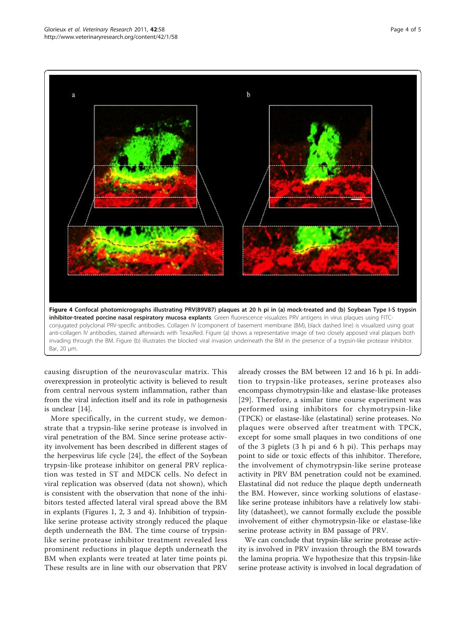<span id="page-3-0"></span>

causing disruption of the neurovascular matrix. This overexpression in proteolytic activity is believed to result from central nervous system inflammation, rather than from the viral infection itself and its role in pathogenesis is unclear [[14](#page-4-0)].

More specifically, in the current study, we demonstrate that a trypsin-like serine protease is involved in viral penetration of the BM. Since serine protease activity involvement has been described in different stages of the herpesvirus life cycle [\[24](#page-4-0)], the effect of the Soybean trypsin-like protease inhibitor on general PRV replication was tested in ST and MDCK cells. No defect in viral replication was observed (data not shown), which is consistent with the observation that none of the inhibitors tested affected lateral viral spread above the BM in explants (Figures [1, 2](#page-1-0), [3](#page-2-0) and 4). Inhibition of trypsinlike serine protease activity strongly reduced the plaque depth underneath the BM. The time course of trypsinlike serine protease inhibitor treatment revealed less prominent reductions in plaque depth underneath the BM when explants were treated at later time points pi. These results are in line with our observation that PRV

already crosses the BM between 12 and 16 h pi. In addition to trypsin-like proteases, serine proteases also encompass chymotrypsin-like and elastase-like proteases [[29](#page-4-0)]. Therefore, a similar time course experiment was performed using inhibitors for chymotrypsin-like (TPCK) or elastase-like (elastatinal) serine proteases. No plaques were observed after treatment with TPCK, except for some small plaques in two conditions of one of the 3 piglets (3 h pi and 6 h pi). This perhaps may point to side or toxic effects of this inhibitor. Therefore, the involvement of chymotrypsin-like serine protease activity in PRV BM penetration could not be examined. Elastatinal did not reduce the plaque depth underneath the BM. However, since working solutions of elastaselike serine protease inhibitors have a relatively low stability (datasheet), we cannot formally exclude the possible involvement of either chymotrypsin-like or elastase-like serine protease activity in BM passage of PRV.

We can conclude that trypsin-like serine protease activity is involved in PRV invasion through the BM towards the lamina propria. We hypothesize that this trypsin-like serine protease activity is involved in local degradation of